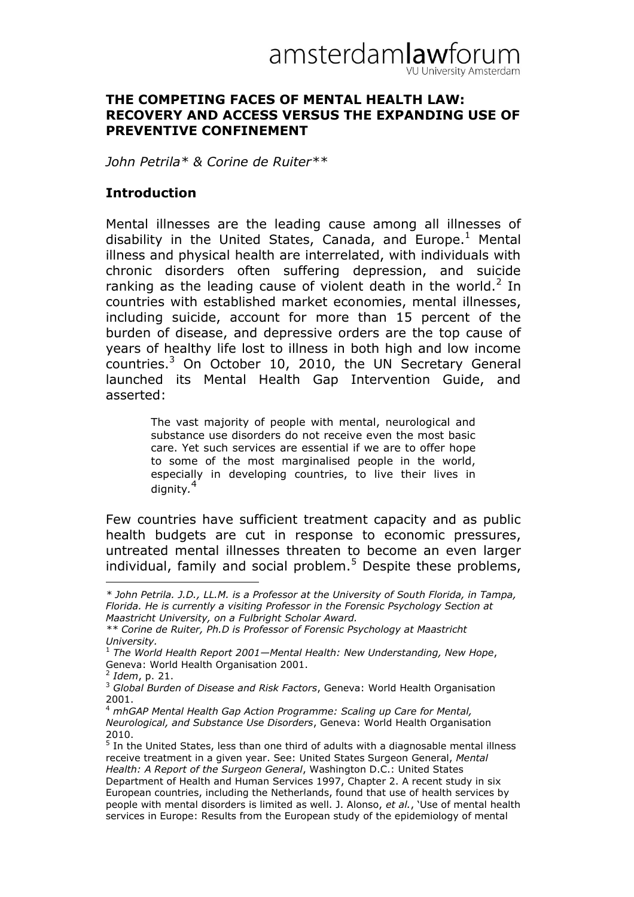

#### **THE COMPETING FACES OF MENTAL HEALTH LAW: RECOVERY AND ACCESS VERSUS THE EXPANDING USE OF PREVENTIVE CONFINEMENT**

*John Petrila\* & Corine de Ruiter\*\** 

#### **Introduction**

Mental illnesses are the leading cause among all illnesses of disability in the United States, Canada, and Europe. $<sup>1</sup>$  Mental</sup> illness and physical health are interrelated, with individuals with chronic disorders often suffering depression, and suicide ranking as the leading cause of violent death in the world. $2$  In countries with established market economies, mental illnesses, including suicide, account for more than 15 percent of the burden of disease, and depressive orders are the top cause of years of healthy life lost to illness in both high and low income countries. $3$  On October 10, 2010, the UN Secretary General launched its Mental Health Gap Intervention Guide, and asserted:

> The vast majority of people with mental, neurological and substance use disorders do not receive even the most basic care. Yet such services are essential if we are to offer hope to some of the most marginalised people in the world, especially in developing countries, to live their lives in dignity*.* 4

Few countries have sufficient treatment capacity and as public health budgets are cut in response to economic pressures, untreated mental illnesses threaten to become an even larger individual, family and social problem.<sup>5</sup> Despite these problems,

*<sup>\*</sup> John Petrila. J.D., LL.M. is a Professor at the University of South Florida, in Tampa, Florida. He is currently a visiting Professor in the Forensic Psychology Section at Maastricht University, on a Fulbright Scholar Award.*

*<sup>\*\*</sup> Corine de Ruiter, Ph.D is Professor of Forensic Psychology at Maastricht University.* 

<sup>1</sup> *The World Health Report 2001—Mental Health: New Understanding, New Hope*, Geneva: World Health Organisation 2001.

<sup>2</sup> *Idem*, p. 21.

<sup>3</sup> *Global Burden of Disease and Risk Factors*, Geneva: World Health Organisation 2001.

<sup>4</sup> *mhGAP Mental Health Gap Action Programme: Scaling up Care for Mental, Neurological, and Substance Use Disorders*, Geneva: World Health Organisation 2010.

<sup>&</sup>lt;sup>5</sup> In the United States, less than one third of adults with a diagnosable mental illness receive treatment in a given year. See: United States Surgeon General, *Mental Health: A Report of the Surgeon General*, Washington D.C.: United States Department of Health and Human Services 1997, Chapter 2. A recent study in six European countries, including the Netherlands, found that use of health services by people with mental disorders is limited as well. J. Alonso, *et al.*, "Use of mental health services in Europe: Results from the European study of the epidemiology of mental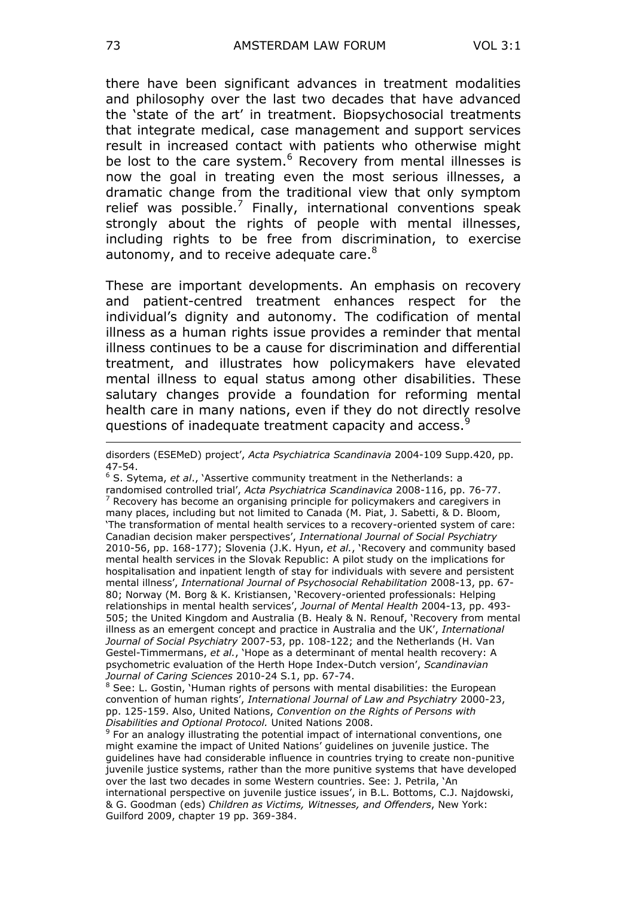there have been significant advances in treatment modalities and philosophy over the last two decades that have advanced the "state of the art" in treatment. Biopsychosocial treatments that integrate medical, case management and support services result in increased contact with patients who otherwise might be lost to the care system.<sup>6</sup> Recovery from mental illnesses is now the goal in treating even the most serious illnesses, a dramatic change from the traditional view that only symptom relief was possible.<sup>7</sup> Finally, international conventions speak strongly about the rights of people with mental illnesses, including rights to be free from discrimination, to exercise autonomy, and to receive adequate care.<sup>8</sup>

These are important developments. An emphasis on recovery and patient-centred treatment enhances respect for the individual's dignity and autonomy. The codification of mental illness as a human rights issue provides a reminder that mental illness continues to be a cause for discrimination and differential treatment, and illustrates how policymakers have elevated mental illness to equal status among other disabilities. These salutary changes provide a foundation for reforming mental health care in many nations, even if they do not directly resolve questions of inadequate treatment capacity and access.<sup>9</sup>

<sup>6</sup> S. Sytema, *et al*., "Assertive community treatment in the Netherlands: a randomised controlled trial", *Acta Psychiatrica Scandinavica* 2008-116, pp. 76-77. Recovery has become an organising principle for policymakers and caregivers in many places, including but not limited to Canada (M. Piat, J. Sabetti, & D. Bloom, "The transformation of mental health services to a recovery-oriented system of care: Canadian decision maker perspectives", *International Journal of Social Psychiatry* 2010-56, pp. 168-177); Slovenia (J.K. Hyun, *et al.*, "Recovery and community based mental health services in the Slovak Republic: A pilot study on the implications for hospitalisation and inpatient length of stay for individuals with severe and persistent mental illness", *International Journal of Psychosocial Rehabilitation* 2008-13, pp. 67- 80; Norway (M. Borg & K. Kristiansen, "Recovery-oriented professionals: Helping relationships in mental health services", *Journal of Mental Health* 2004-13, pp. 493- 505; the United Kingdom and Australia (B. Healy & N. Renouf, "Recovery from mental illness as an emergent concept and practice in Australia and the UK", *International Journal of Social Psychiatry* 2007-53, pp. 108-122; and the Netherlands (H. Van Gestel-Timmermans, *et al.*, "Hope as a determinant of mental health recovery: A psychometric evaluation of the Herth Hope Index-Dutch version", *Scandinavian Journal of Caring Sciences* 2010-24 S.1, pp. 67-74.

See: L. Gostin, 'Human rights of persons with mental disabilities: the European convention of human rights", *International Journal of Law and Psychiatry* 2000-23, pp. 125-159. Also, United Nations, *Convention on the Rights of Persons with Disabilities and Optional Protocol.* United Nations 2008.

<sup>9</sup> For an analogy illustrating the potential impact of international conventions, one might examine the impact of United Nations" guidelines on juvenile justice. The guidelines have had considerable influence in countries trying to create non-punitive juvenile justice systems, rather than the more punitive systems that have developed over the last two decades in some Western countries. See: J. Petrila, "An international perspective on juvenile justice issues', in B.L. Bottoms, C.J. Najdowski, & G. Goodman (eds) *Children as Victims, Witnesses, and Offenders*, New York: Guilford 2009, chapter 19 pp. 369-384.

<u>.</u>

disorders (ESEMeD) project", *Acta Psychiatrica Scandinavia* 2004-109 Supp.420, pp. 47-54.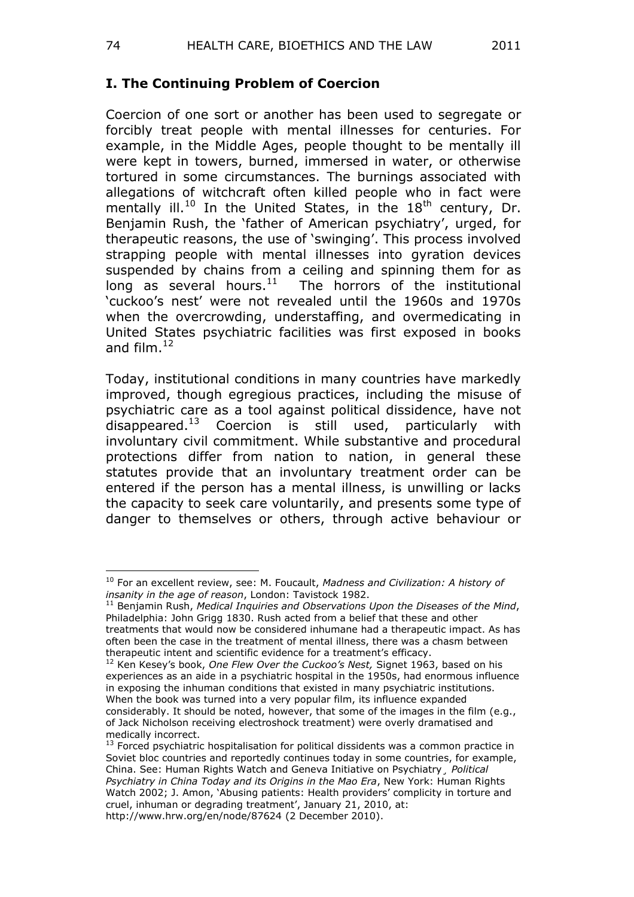### **I. The Continuing Problem of Coercion**

Coercion of one sort or another has been used to segregate or forcibly treat people with mental illnesses for centuries. For example, in the Middle Ages, people thought to be mentally ill were kept in towers, burned, immersed in water, or otherwise tortured in some circumstances. The burnings associated with allegations of witchcraft often killed people who in fact were mentally ill.<sup>10</sup> In the United States, in the  $18<sup>th</sup>$  century, Dr. Benjamin Rush, the 'father of American psychiatry', urged, for therapeutic reasons, the use of 'swinging'. This process involved strapping people with mental illnesses into gyration devices suspended by chains from a ceiling and spinning them for as long as several hours. $^{11}$  The horrors of the institutional "cuckoo"s nest" were not revealed until the 1960s and 1970s when the overcrowding, understaffing, and overmedicating in United States psychiatric facilities was first exposed in books and film. $^{12}$ 

Today, institutional conditions in many countries have markedly improved, though egregious practices, including the misuse of psychiatric care as a tool against political dissidence, have not disappeared.<sup>13</sup> Coercion is still used, particularly with involuntary civil commitment. While substantive and procedural protections differ from nation to nation, in general these statutes provide that an involuntary treatment order can be entered if the person has a mental illness, is unwilling or lacks the capacity to seek care voluntarily, and presents some type of danger to themselves or others, through active behaviour or

 $\overline{a}$ <sup>10</sup> For an excellent review, see: M. Foucault, *Madness and Civilization: A history of insanity in the age of reason*, London: Tavistock 1982.

<sup>11</sup> Benjamin Rush, *Medical Inquiries and Observations Upon the Diseases of the Mind*, Philadelphia: John Grigg 1830. Rush acted from a belief that these and other treatments that would now be considered inhumane had a therapeutic impact. As has often been the case in the treatment of mental illness, there was a chasm between therapeutic intent and scientific evidence for a treatment's efficacy.

<sup>&</sup>lt;sup>12</sup> Ken Kesey's book, One Flew Over the Cuckoo's Nest, Signet 1963, based on his experiences as an aide in a psychiatric hospital in the 1950s, had enormous influence in exposing the inhuman conditions that existed in many psychiatric institutions. When the book was turned into a very popular film, its influence expanded considerably. It should be noted, however, that some of the images in the film (e.g., of Jack Nicholson receiving electroshock treatment) were overly dramatised and medically incorrect.

 $13$  Forced psychiatric hospitalisation for political dissidents was a common practice in Soviet bloc countries and reportedly continues today in some countries, for example, China. See: Human Rights Watch and Geneva Initiative on Psychiatry¸ *Political Psychiatry in China Today and its Origins in the Mao Era*, New York: Human Rights Watch 2002; J. Amon, 'Abusing patients: Health providers' complicity in torture and cruel, inhuman or degrading treatment', January 21, 2010, at: http://www.hrw.org/en/node/87624 (2 December 2010).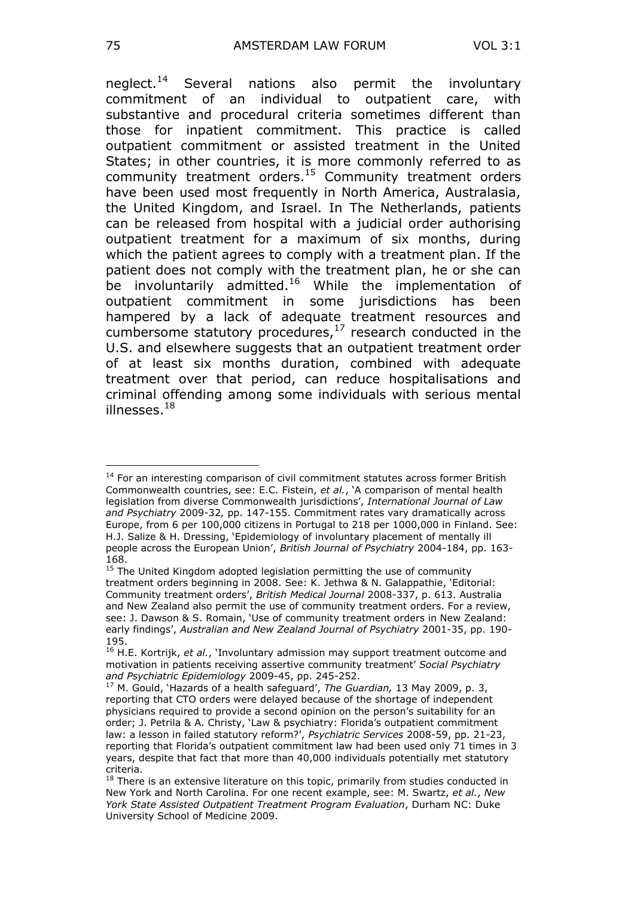neglect.<sup>14</sup> Several nations also permit the involuntary commitment of an individual to outpatient care, with substantive and procedural criteria sometimes different than those for inpatient commitment. This practice is called outpatient commitment or assisted treatment in the United States; in other countries, it is more commonly referred to as community treatment orders.<sup>15</sup> Community treatment orders have been used most frequently in North America, Australasia, the United Kingdom, and Israel. In The Netherlands, patients can be released from hospital with a judicial order authorising outpatient treatment for a maximum of six months, during which the patient agrees to comply with a treatment plan. If the patient does not comply with the treatment plan, he or she can be involuntarily admitted.<sup>16</sup> While the implementation of outpatient commitment in some jurisdictions has been hampered by a lack of adequate treatment resources and cumbersome statutory procedures, $17$  research conducted in the U.S. and elsewhere suggests that an outpatient treatment order of at least six months duration, combined with adequate treatment over that period, can reduce hospitalisations and criminal offending among some individuals with serious mental illnesses. $18$ 

<sup>&</sup>lt;sup>14</sup> For an interesting comparison of civil commitment statutes across former British Commonwealth countries, see: E.C. Fistein, *et al.*, "A comparison of mental health legislation from diverse Commonwealth jurisdictions', International Journal of Law *and Psychiatry* 2009-32*,* pp. 147-155. Commitment rates vary dramatically across Europe, from 6 per 100,000 citizens in Portugal to 218 per 1000,000 in Finland. See: H.J. Salize & H. Dressing, "Epidemiology of involuntary placement of mentally ill people across the European Union", *British Journal of Psychiatry* 2004-184, pp. 163- 168.

<sup>&</sup>lt;sup>15</sup> The United Kingdom adopted legislation permitting the use of community treatment orders beginning in 2008. See: K. Jethwa & N. Galappathie, "Editorial: Community treatment orders", *British Medical Journal* 2008-337, p. 613. Australia and New Zealand also permit the use of community treatment orders. For a review, see: J. Dawson & S. Romain, "Use of community treatment orders in New Zealand: early findings", *Australian and New Zealand Journal of Psychiatry* 2001-35, pp. 190- 195.

<sup>16</sup> H.E. Kortrijk, *et al.*, "Involuntary admission may support treatment outcome and motivation in patients receiving assertive community treatment" *Social Psychiatry and Psychiatric Epidemiology* 2009-45, pp. 245-252.

<sup>17</sup> M. Gould, "Hazards of a health safeguard", *The Guardian,* 13 May 2009, p. 3, reporting that CTO orders were delayed because of the shortage of independent physicians required to provide a second opinion on the person"s suitability for an order; J. Petrila & A. Christy, 'Law & psychiatry: Florida's outpatient commitment law: a lesson in failed statutory reform?", *Psychiatric Services* 2008-59, pp. 21-23, reporting that Florida"s outpatient commitment law had been used only 71 times in 3 years, despite that fact that more than 40,000 individuals potentially met statutory criteria.

 $18$  There is an extensive literature on this topic, primarily from studies conducted in New York and North Carolina. For one recent example, see: M. Swartz, *et al.*, *New York State Assisted Outpatient Treatment Program Evaluation*, Durham NC: Duke University School of Medicine 2009.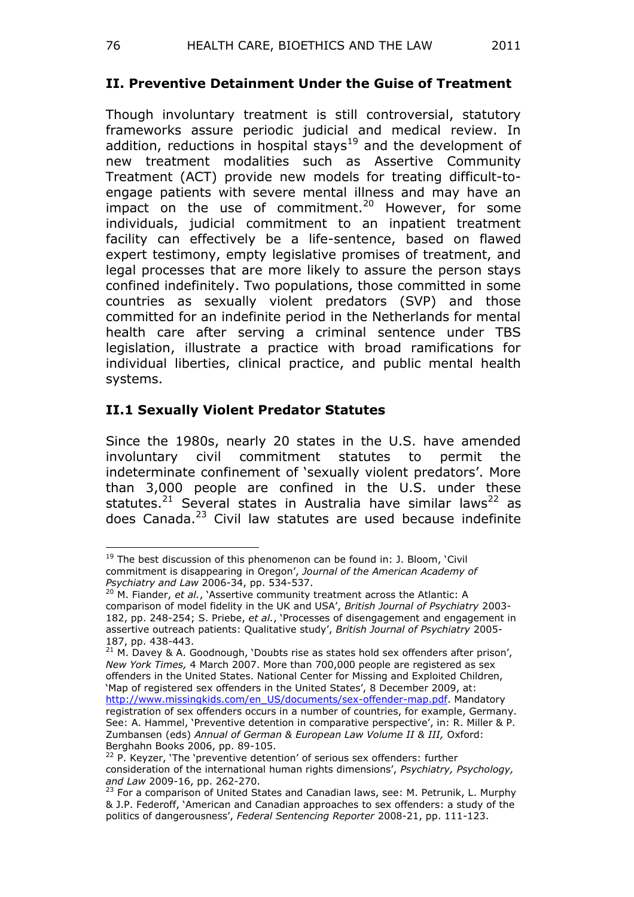### **II. Preventive Detainment Under the Guise of Treatment**

Though involuntary treatment is still controversial, statutory frameworks assure periodic judicial and medical review. In addition, reductions in hospital stays<sup>19</sup> and the development of new treatment modalities such as Assertive Community Treatment (ACT) provide new models for treating difficult-toengage patients with severe mental illness and may have an impact on the use of commitment.<sup>20</sup> However, for some individuals, judicial commitment to an inpatient treatment facility can effectively be a life-sentence, based on flawed expert testimony, empty legislative promises of treatment, and legal processes that are more likely to assure the person stays confined indefinitely. Two populations, those committed in some countries as sexually violent predators (SVP) and those committed for an indefinite period in the Netherlands for mental health care after serving a criminal sentence under TBS legislation, illustrate a practice with broad ramifications for individual liberties, clinical practice, and public mental health systems.

## **II.1 Sexually Violent Predator Statutes**

Since the 1980s, nearly 20 states in the U.S. have amended involuntary civil commitment statutes to permit the indeterminate confinement of 'sexually violent predators'. More than 3,000 people are confined in the U.S. under these statutes.<sup>21</sup> Several states in Australia have similar laws<sup>22</sup> as does Canada.<sup>23</sup> Civil law statutes are used because indefinite

 $\overline{a}$  $19$  The best discussion of this phenomenon can be found in: J. Bloom, 'Civil commitment is disappearing in Oregon", *Journal of the American Academy of Psychiatry and Law* 2006-34, pp. 534-537.

<sup>20</sup> M. Fiander, *et al.*, "Assertive community treatment across the Atlantic: A comparison of model fidelity in the UK and USA", *British Journal of Psychiatry* 2003- 182, pp. 248-254; S. Priebe, *et al.*, "Processes of disengagement and engagement in assertive outreach patients: Qualitative study", *British Journal of Psychiatry* 2005- 187, pp. 438-443.

 $21$  M. Davey & A. Goodnough, 'Doubts rise as states hold sex offenders after prison', *New York Times,* 4 March 2007. More than 700,000 people are registered as sex offenders in the United States. National Center for Missing and Exploited Children, 'Map of registered sex offenders in the United States', 8 December 2009, at: [http://www.missingkids.com/en\\_US/documents/sex-offender-map.pdf.](http://www.missingkids.com/en_US/documents/sex-offender-map.pdf) Mandatory registration of sex offenders occurs in a number of countries, for example, Germany. See: A. Hammel, 'Preventive detention in comparative perspective', in: R. Miller & P. Zumbansen (eds) *Annual of German & European Law Volume II & III,* Oxford: Berghahn Books 2006, pp. 89-105.

<sup>&</sup>lt;sup>22</sup> P. Keyzer, 'The 'preventive detention' of serious sex offenders: further consideration of the international human rights dimensions", *Psychiatry, Psychology, and Law* 2009-16, pp. 262-270.

<sup>&</sup>lt;sup>23</sup> For a comparison of United States and Canadian laws, see: M. Petrunik, L. Murphy & J.P. Federoff, "American and Canadian approaches to sex offenders: a study of the politics of dangerousness", *Federal Sentencing Reporter* 2008-21, pp. 111-123.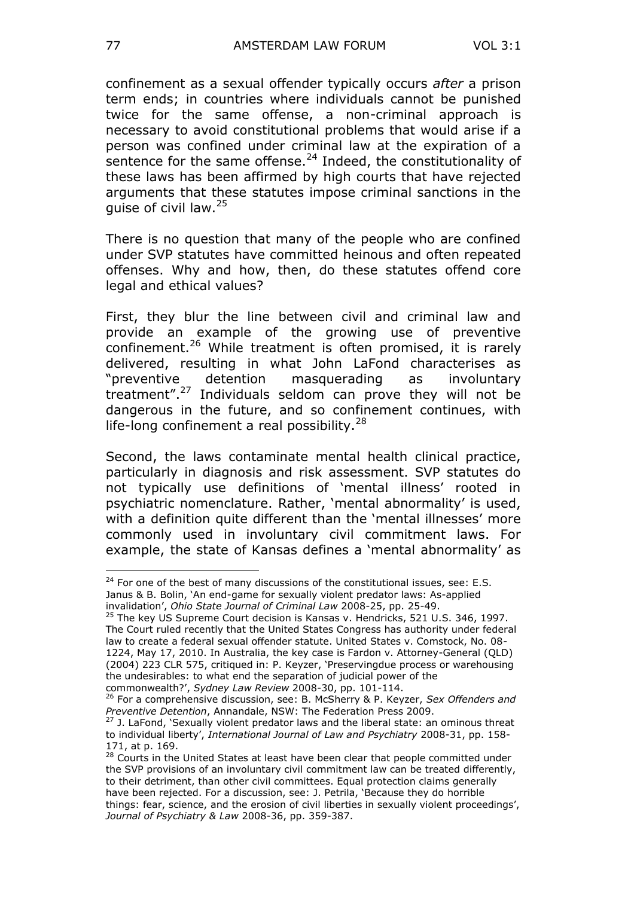confinement as a sexual offender typically occurs *after* a prison term ends; in countries where individuals cannot be punished twice for the same offense, a non-criminal approach is necessary to avoid constitutional problems that would arise if a person was confined under criminal law at the expiration of a sentence for the same offense. $24$  Indeed, the constitutionality of these laws has been affirmed by high courts that have rejected arguments that these statutes impose criminal sanctions in the quise of civil law. $25$ 

There is no question that many of the people who are confined under SVP statutes have committed heinous and often repeated offenses. Why and how, then, do these statutes offend core legal and ethical values?

First, they blur the line between civil and criminal law and provide an example of the growing use of preventive confinement.<sup>26</sup> While treatment is often promised, it is rarely delivered, resulting in what John LaFond characterises as "preventive detention masquerading as involuntary treatment".<sup>27</sup> Individuals seldom can prove they will not be dangerous in the future, and so confinement continues, with life-long confinement a real possibility. $^{28}$ 

Second, the laws contaminate mental health clinical practice, particularly in diagnosis and risk assessment. SVP statutes do not typically use definitions of "mental illness" rooted in psychiatric nomenclature. Rather, 'mental abnormality' is used, with a definition quite different than the 'mental illnesses' more commonly used in involuntary civil commitment laws. For example, the state of Kansas defines a 'mental abnormality' as

 $24$  For one of the best of many discussions of the constitutional issues, see: E.S. Janus & B. Bolin, "An end-game for sexually violent predator laws: As-applied invalidation", *Ohio State Journal of Criminal Law* 2008-25, pp. 25-49.

<sup>&</sup>lt;sup>25</sup> The key US Supreme Court decision is Kansas v. Hendricks, 521 U.S. 346, 1997. The Court ruled recently that the United States Congress has authority under federal law to create a federal sexual offender statute. United States v. Comstock, No. 08- 1224, May 17, 2010. In Australia, the key case is Fardon v. Attorney-General (QLD) (2004) 223 CLR 575, critiqued in: P. Keyzer, "Preservingdue process or warehousing the undesirables: to what end the separation of judicial power of the commonwealth?", *Sydney Law Review* 2008-30, pp. 101-114.

<sup>26</sup> For a comprehensive discussion, see: B. McSherry & P. Keyzer, *Sex Offenders and Preventive Detention*, Annandale, NSW: The Federation Press 2009.

 $27$  J. LaFond, 'Sexually violent predator laws and the liberal state: an ominous threat to individual liberty", *International Journal of Law and Psychiatry* 2008-31, pp. 158- 171, at p. 169.

<sup>&</sup>lt;sup>28</sup> Courts in the United States at least have been clear that people committed under the SVP provisions of an involuntary civil commitment law can be treated differently, to their detriment, than other civil committees. Equal protection claims generally have been rejected. For a discussion, see: J. Petrila, "Because they do horrible things: fear, science, and the erosion of civil liberties in sexually violent proceedings", *Journal of Psychiatry & Law* 2008-36, pp. 359-387.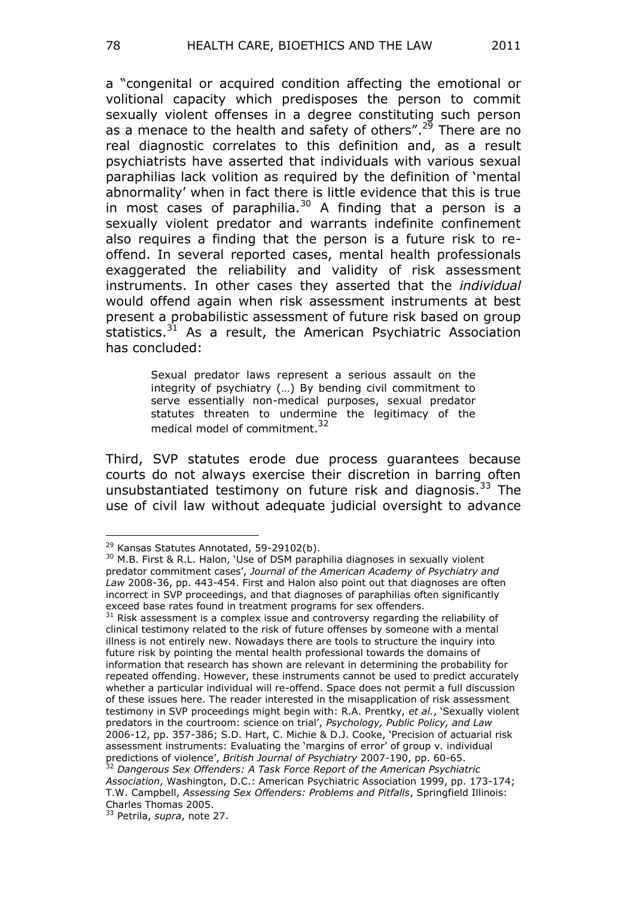a "congenital or acquired condition affecting the emotional or volitional capacity which predisposes the person to commit sexually violent offenses in a degree constituting such person as a menace to the health and safety of others".<sup>29</sup> There are no real diagnostic correlates to this definition and, as a result psychiatrists have asserted that individuals with various sexual paraphilias lack volition as required by the definition of "mental abnormality' when in fact there is little evidence that this is true in most cases of paraphilia.<sup>30</sup> A finding that a person is a sexually violent predator and warrants indefinite confinement also requires a finding that the person is a future risk to reoffend. In several reported cases, mental health professionals exaggerated the reliability and validity of risk assessment instruments. In other cases they asserted that the *individual*  would offend again when risk assessment instruments at best present a probabilistic assessment of future risk based on group statistics. $31$  As a result, the American Psychiatric Association has concluded:

> Sexual predator laws represent a serious assault on the integrity of psychiatry (…) By bending civil commitment to serve essentially non-medical purposes, sexual predator statutes threaten to undermine the legitimacy of the medical model of commitment.<sup>32</sup>

Third, SVP statutes erode due process guarantees because courts do not always exercise their discretion in barring often unsubstantiated testimony on future risk and diagnosis.<sup>33</sup> The use of civil law without adequate judicial oversight to advance

<sup>&</sup>lt;sup>29</sup> Kansas Statutes Annotated, 59-29102(b).

<sup>&</sup>lt;sup>30</sup> M.B. First & R.L. Halon, 'Use of DSM paraphilia diagnoses in sexually violent predator commitment cases", *Journal of the American Academy of Psychiatry and Law* 2008-36, pp. 443-454. First and Halon also point out that diagnoses are often incorrect in SVP proceedings, and that diagnoses of paraphilias often significantly exceed base rates found in treatment programs for sex offenders.

 $31$  Risk assessment is a complex issue and controversy regarding the reliability of clinical testimony related to the risk of future offenses by someone with a mental illness is not entirely new. Nowadays there are tools to structure the inquiry into future risk by pointing the mental health professional towards the domains of information that research has shown are relevant in determining the probability for repeated offending. However, these instruments cannot be used to predict accurately whether a particular individual will re-offend. Space does not permit a full discussion of these issues here. The reader interested in the misapplication of risk assessment testimony in SVP proceedings might begin with: R.A. Prentky, *et al.*, "Sexually violent predators in the courtroom: science on trial", *Psychology, Public Policy, and Law*  2006-12, pp. 357-386; S.D. Hart, C. Michie & D.J. Cooke, "Precision of actuarial risk assessment instruments: Evaluating the "margins of error" of group v. individual predictions of violence", *British Journal of Psychiatry* 2007-190, pp. 60-65.

<sup>32</sup> *Dangerous Sex Offenders: A Task Force Report of the American Psychiatric Association*, Washington, D.C.: American Psychiatric Association 1999, pp. 173-174; T.W. Campbell, *Assessing Sex Offenders: Problems and Pitfalls*, Springfield Illinois: Charles Thomas 2005.

<sup>33</sup> Petrila, *supra*, note 27.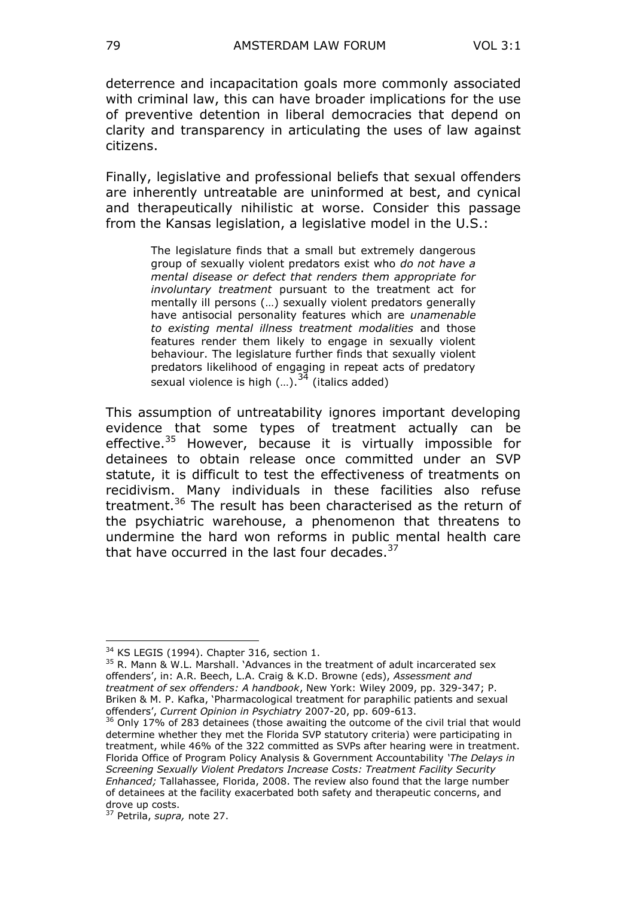deterrence and incapacitation goals more commonly associated with criminal law, this can have broader implications for the use of preventive detention in liberal democracies that depend on clarity and transparency in articulating the uses of law against citizens.

Finally, legislative and professional beliefs that sexual offenders are inherently untreatable are uninformed at best, and cynical and therapeutically nihilistic at worse. Consider this passage from the Kansas legislation, a legislative model in the U.S.:

> The legislature finds that a small but extremely dangerous group of sexually violent predators exist who *do not have a mental disease or defect that renders them appropriate for involuntary treatment* pursuant to the treatment act for mentally ill persons (…) sexually violent predators generally have antisocial personality features which are *unamenable to existing mental illness treatment modalities* and those features render them likely to engage in sexually violent behaviour. The legislature further finds that sexually violent predators likelihood of engaging in repeat acts of predatory sexual violence is high (...).<sup>34</sup> (italics added)

This assumption of untreatability ignores important developing evidence that some types of treatment actually can be effective.<sup>35</sup> However, because it is virtually impossible for detainees to obtain release once committed under an SVP statute, it is difficult to test the effectiveness of treatments on recidivism. Many individuals in these facilities also refuse treatment.<sup>36</sup> The result has been characterised as the return of the psychiatric warehouse, a phenomenon that threatens to undermine the hard won reforms in public mental health care that have occurred in the last four decades. $37$ 

 $\overline{a}$ <sup>34</sup> KS LEGIS (1994). Chapter 316, section 1.

 $35$  R. Mann & W.L. Marshall. 'Advances in the treatment of adult incarcerated sex offenders", in: A.R. Beech, L.A. Craig & K.D. Browne (eds), *Assessment and treatment of sex offenders: A handbook*, New York: Wiley 2009, pp. 329-347; P. Briken & M. P. Kafka, "Pharmacological treatment for paraphilic patients and sexual offenders", *Current Opinion in Psychiatry* 2007-20, pp. 609-613.

<sup>&</sup>lt;sup>36</sup> Only 17% of 283 detainees (those awaiting the outcome of the civil trial that would determine whether they met the Florida SVP statutory criteria) were participating in treatment, while 46% of the 322 committed as SVPs after hearing were in treatment. Florida Office of Program Policy Analysis & Government Accountability *'The Delays in Screening Sexually Violent Predators Increase Costs: Treatment Facility Security Enhanced;* Tallahassee, Florida, 2008. The review also found that the large number of detainees at the facility exacerbated both safety and therapeutic concerns, and drove up costs.

<sup>37</sup> Petrila, *supra,* note 27.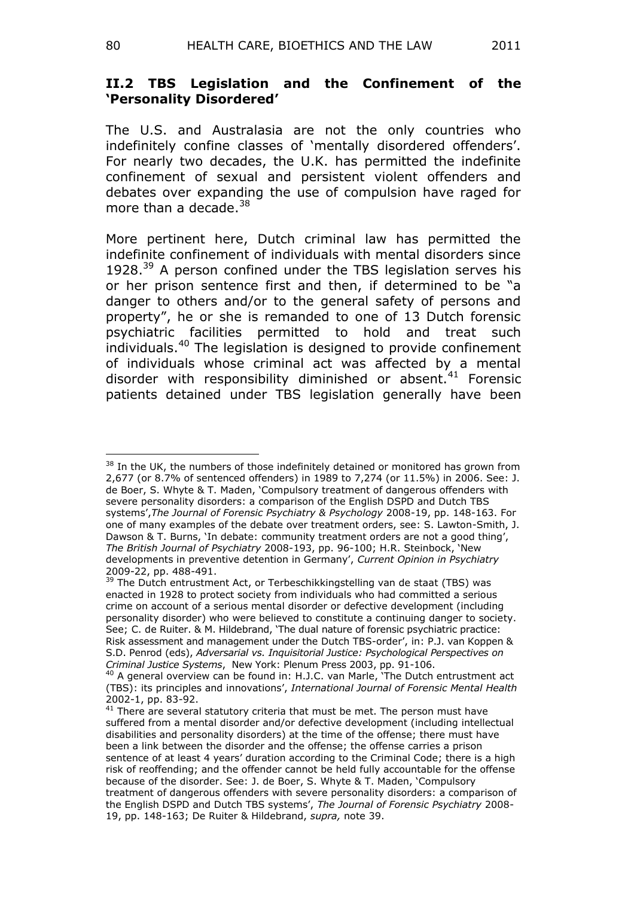#### **II.2 TBS Legislation and the Confinement of the 'Personality Disordered'**

The U.S. and Australasia are not the only countries who indefinitely confine classes of 'mentally disordered offenders'. For nearly two decades, the U.K. has permitted the indefinite confinement of sexual and persistent violent offenders and debates over expanding the use of compulsion have raged for more than a decade. $38$ 

More pertinent here, Dutch criminal law has permitted the indefinite confinement of individuals with mental disorders since 1928. $39$  A person confined under the TBS legislation serves his or her prison sentence first and then, if determined to be "a danger to others and/or to the general safety of persons and property", he or she is remanded to one of 13 Dutch forensic psychiatric facilities permitted to hold and treat such individuals.<sup>40</sup> The legislation is designed to provide confinement of individuals whose criminal act was affected by a mental disorder with responsibility diminished or absent. $41$  Forensic patients detained under TBS legislation generally have been

 $\overline{a}$ <sup>38</sup> In the UK, the numbers of those indefinitely detained or monitored has grown from 2,677 (or 8.7% of sentenced offenders) in 1989 to 7,274 (or 11.5%) in 2006. See: J. de Boer, S. Whyte & T. Maden, "Compulsory treatment of dangerous offenders with severe personality disorders: a comparison of the English DSPD and Dutch TBS systems",*The Journal of Forensic Psychiatry & Psychology* 2008-19, pp. 148-163. For one of many examples of the debate over treatment orders, see: S. Lawton-Smith, J. Dawson & T. Burns, 'In debate: community treatment orders are not a good thing', *The British Journal of Psychiatry* 2008-193, pp. 96-100; H.R. Steinbock, "New developments in preventive detention in Germany", *Current Opinion in Psychiatry*  2009-22, pp. 488-491.

<sup>&</sup>lt;sup>39</sup> The Dutch entrustment Act, or Terbeschikkingstelling van de staat (TBS) was enacted in 1928 to protect society from individuals who had committed a serious crime on account of a serious mental disorder or defective development (including personality disorder) who were believed to constitute a continuing danger to society. See; C. de Ruiter. & M. Hildebrand, "The dual nature of forensic psychiatric practice: Risk assessment and management under the Dutch TBS-order", in: P.J. van Koppen & S.D. Penrod (eds), *Adversarial vs. Inquisitorial Justice: Psychological Perspectives on Criminal Justice Systems*, New York: Plenum Press 2003, pp. 91-106.

<sup>&</sup>lt;sup>40</sup> A general overview can be found in: H.J.C. van Marle, 'The Dutch entrustment act (TBS): its principles and innovations", *International Journal of Forensic Mental Health*  2002-1, pp. 83-92.

<sup>&</sup>lt;sup>41</sup> There are several statutory criteria that must be met. The person must have suffered from a mental disorder and/or defective development (including intellectual disabilities and personality disorders) at the time of the offense; there must have been a link between the disorder and the offense; the offense carries a prison sentence of at least 4 years' duration according to the Criminal Code; there is a high risk of reoffending; and the offender cannot be held fully accountable for the offense because of the disorder. See: J. de Boer, S. Whyte & T. Maden, "Compulsory treatment of dangerous offenders with severe personality disorders: a comparison of the English DSPD and Dutch TBS systems", *The Journal of Forensic Psychiatry* 2008- 19, pp. 148-163; De Ruiter & Hildebrand, *supra,* note 39.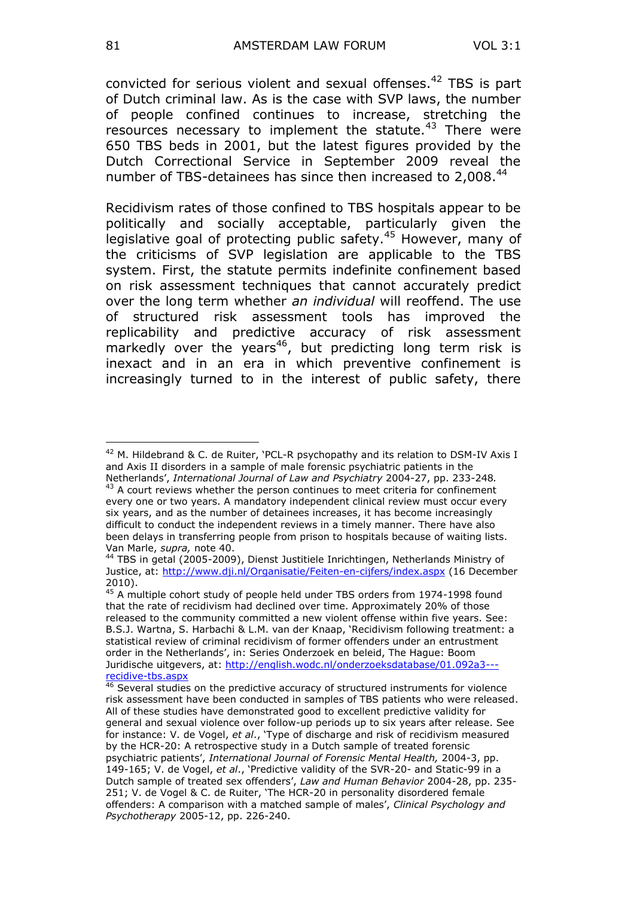convicted for serious violent and sexual offenses.<sup>42</sup> TBS is part of Dutch criminal law. As is the case with SVP laws, the number of people confined continues to increase, stretching the resources necessary to implement the statute.<sup>43</sup> There were 650 TBS beds in 2001, but the latest figures provided by the Dutch Correctional Service in September 2009 reveal the number of TBS-detainees has since then increased to 2,008.<sup>44</sup>

Recidivism rates of those confined to TBS hospitals appear to be politically and socially acceptable, particularly given the legislative goal of protecting public safety.<sup>45</sup> However, many of the criticisms of SVP legislation are applicable to the TBS system. First, the statute permits indefinite confinement based on risk assessment techniques that cannot accurately predict over the long term whether *an individual* will reoffend. The use of structured risk assessment tools has improved the replicability and predictive accuracy of risk assessment markedly over the years<sup>46</sup>, but predicting long term risk is inexact and in an era in which preventive confinement is increasingly turned to in the interest of public safety, there

 $42$  M. Hildebrand & C. de Ruiter, 'PCL-R psychopathy and its relation to DSM-IV Axis I and Axis II disorders in a sample of male forensic psychiatric patients in the Netherlands", *International Journal of Law and Psychiatry* 2004-27, pp. 233-248*.*

 $43$  A court reviews whether the person continues to meet criteria for confinement every one or two years. A mandatory independent clinical review must occur every six years, and as the number of detainees increases, it has become increasingly difficult to conduct the independent reviews in a timely manner. There have also been delays in transferring people from prison to hospitals because of waiting lists. Van Marle, *supra,* note 40.

<sup>44</sup> TBS in getal (2005-2009), Dienst Justitiele Inrichtingen, Netherlands Ministry of Justice, at:<http://www.dji.nl/Organisatie/Feiten-en-cijfers/index.aspx> (16 December 2010).

<sup>&</sup>lt;sup>45</sup> A multiple cohort study of people held under TBS orders from 1974-1998 found that the rate of recidivism had declined over time. Approximately 20% of those released to the community committed a new violent offense within five years. See: B.S.J. Wartna, S. Harbachi & L.M. van der Knaap, "Recidivism following treatment: a statistical review of criminal recidivism of former offenders under an entrustment order in the Netherlands', in: Series Onderzoek en beleid, The Hague: Boom Juridische uitgevers, at: [http://english.wodc.nl/onderzoeksdatabase/01.092a3--](http://english.wodc.nl/onderzoeksdatabase/01.092a3---recidive-tbs.aspx) [recidive-tbs.aspx](http://english.wodc.nl/onderzoeksdatabase/01.092a3---recidive-tbs.aspx)

 $46$  Several studies on the predictive accuracy of structured instruments for violence risk assessment have been conducted in samples of TBS patients who were released. All of these studies have demonstrated good to excellent predictive validity for general and sexual violence over follow-up periods up to six years after release. See for instance: V. de Vogel, *et al*., "Type of discharge and risk of recidivism measured by the HCR-20: A retrospective study in a Dutch sample of treated forensic psychiatric patients", *International Journal of Forensic Mental Health,* 2004-3, pp. 149-165; V. de Vogel, *et al*., "Predictive validity of the SVR-20- and Static-99 in a Dutch sample of treated sex offenders", *Law and Human Behavior* 2004-28, pp. 235- 251; V. de Vogel & C. de Ruiter, "The HCR-20 in personality disordered female offenders: A comparison with a matched sample of males", *Clinical Psychology and Psychotherapy* 2005-12, pp. 226-240.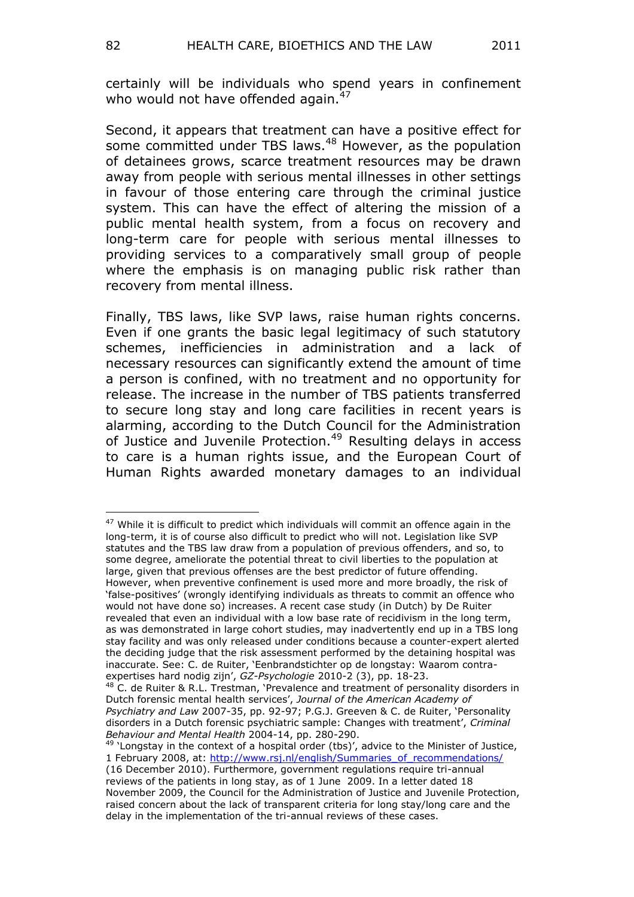certainly will be individuals who spend years in confinement who would not have offended again. $47$ 

Second, it appears that treatment can have a positive effect for some committed under TBS laws.<sup>48</sup> However, as the population of detainees grows, scarce treatment resources may be drawn away from people with serious mental illnesses in other settings in favour of those entering care through the criminal justice system. This can have the effect of altering the mission of a public mental health system, from a focus on recovery and long-term care for people with serious mental illnesses to providing services to a comparatively small group of people where the emphasis is on managing public risk rather than recovery from mental illness.

Finally, TBS laws, like SVP laws, raise human rights concerns. Even if one grants the basic legal legitimacy of such statutory schemes, inefficiencies in administration and a lack of necessary resources can significantly extend the amount of time a person is confined, with no treatment and no opportunity for release. The increase in the number of TBS patients transferred to secure long stay and long care facilities in recent years is alarming, according to the Dutch Council for the Administration of Justice and Juvenile Protection.<sup>49</sup> Resulting delays in access to care is a human rights issue, and the European Court of Human Rights awarded monetary damages to an individual

 $47$  While it is difficult to predict which individuals will commit an offence again in the long-term, it is of course also difficult to predict who will not. Legislation like SVP statutes and the TBS law draw from a population of previous offenders, and so, to some degree, ameliorate the potential threat to civil liberties to the population at large, given that previous offenses are the best predictor of future offending. However, when preventive confinement is used more and more broadly, the risk of "false-positives" (wrongly identifying individuals as threats to commit an offence who would not have done so) increases. A recent case study (in Dutch) by De Ruiter revealed that even an individual with a low base rate of recidivism in the long term, as was demonstrated in large cohort studies, may inadvertently end up in a TBS long stay facility and was only released under conditions because a counter-expert alerted the deciding judge that the risk assessment performed by the detaining hospital was inaccurate. See: C. de Ruiter, "Eenbrandstichter op de longstay: Waarom contraexpertises hard nodig zijn", *GZ-Psychologie* 2010-2 (3), pp. 18-23.

 $^{48}$  C. de Ruiter & R.L. Trestman, 'Prevalence and treatment of personality disorders in Dutch forensic mental health services", *Journal of the American Academy of Psychiatry and Law* 2007-35, pp. 92-97; P.G.J. Greeven & C. de Ruiter, "Personality disorders in a Dutch forensic psychiatric sample: Changes with treatment", *Criminal Behaviour and Mental Health* 2004-14, pp. 280-290.

 $49$  'Longstay in the context of a hospital order (tbs)', advice to the Minister of Justice, 1 February 2008, at: [http://www.rsj.nl/english/Summaries\\_of\\_recommendations/](http://www.rsj.nl/english/Summaries_of_recommendations/) (16 December 2010). Furthermore, government regulations require tri-annual reviews of the patients in long stay, as of 1 June 2009. In a letter dated 18 November 2009, the Council for the Administration of Justice and Juvenile Protection, raised concern about the lack of transparent criteria for long stay/long care and the delay in the implementation of the tri-annual reviews of these cases.